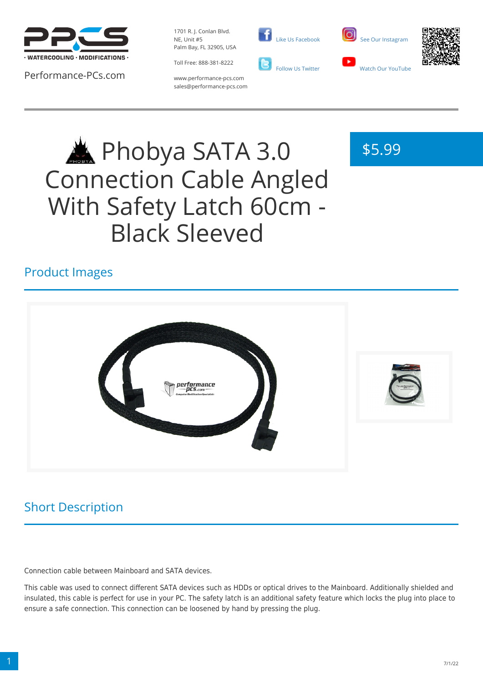

Performance-PCs.com

1701 R. J. Conlan Blvd. NE, Unit #5 Palm Bay, FL 32905, USA

Toll Free: 888-381-8222



 [Like Us Facebook](https://www.facebook.com/PerformancePCs)



\$5.99



www.performance-pcs.com sales@performance-pcs.com

# Phobya SATA 3.0 Connection Cable Angled With Safety Latch 60cm - Black Sleeved

## Product Images



Short Description

Connection cable between Mainboard and SATA devices.

This cable was used to connect different SATA devices such as HDDs or optical drives to the Mainboard. Additionally shielded and insulated, this cable is perfect for use in your PC. The safety latch is an additional safety feature which locks the plug into place to ensure a safe connection. This connection can be loosened by hand by pressing the plug.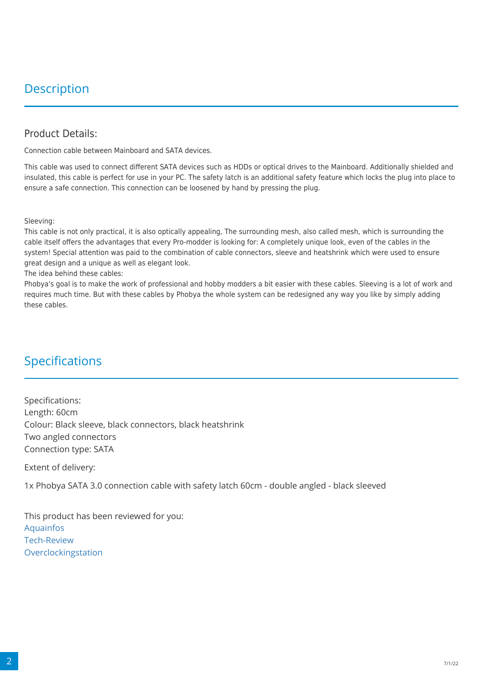## **Description**

#### Product Details:

Connection cable between Mainboard and SATA devices.

This cable was used to connect different SATA devices such as HDDs or optical drives to the Mainboard. Additionally shielded and insulated, this cable is perfect for use in your PC. The safety latch is an additional safety feature which locks the plug into place to ensure a safe connection. This connection can be loosened by hand by pressing the plug.

Sleeving:

This cable is not only practical, it is also optically appealing, The surrounding mesh, also called mesh, which is surrounding the cable itself offers the advantages that every Pro-modder is looking for: A completely unique look, even of the cables in the system! Special attention was paid to the combination of cable connectors, sleeve and heatshrink which were used to ensure great design and a unique as well as elegant look.

The idea behind these cables:

Phobya's goal is to make the work of professional and hobby modders a bit easier with these cables. Sleeving is a lot of work and requires much time. But with these cables by Phobya the whole system can be redesigned any way you like by simply adding these cables.

### Specifications

Specifications: Length: 60cm Colour: Black sleeve, black connectors, black heatshrink Two angled connectors Connection type: SATA

Extent of delivery:

1x Phobya SATA 3.0 connection cable with safety latch 60cm - double angled - black sleeved

This product has been reviewed for you: [Aquainfos](http://www.aquainfos.net/2009/11/19/phobyas-gesleevte-adapterkabel/) [Tech-Review](http://www.tech-review.de/include.php?path=content/articles.php&contentid=9065&PHPKITSID=c3ed77bb6c48583144e60a882cf0a481) [Overclockingstation](http://www.overclockingstation.de/content/produktvorstellung-phobya-kabelverlaengerungen-a363.html)